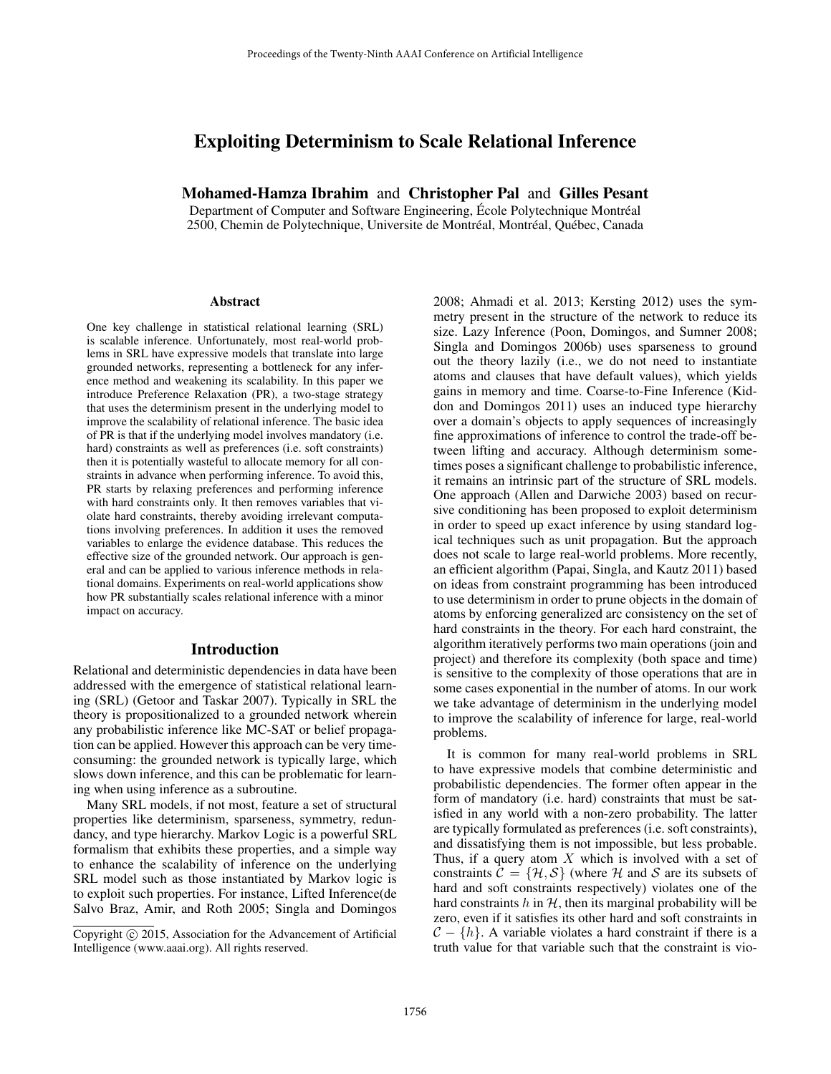# Exploiting Determinism to Scale Relational Inference

### Mohamed-Hamza Ibrahim and Christopher Pal and Gilles Pesant

Department of Computer and Software Engineering, École Polytechnique Montréal 2500, Chemin de Polytechnique, Universite de Montréal, Montréal, Québec, Canada

#### **Abstract**

One key challenge in statistical relational learning (SRL) is scalable inference. Unfortunately, most real-world problems in SRL have expressive models that translate into large grounded networks, representing a bottleneck for any inference method and weakening its scalability. In this paper we introduce Preference Relaxation (PR), a two-stage strategy that uses the determinism present in the underlying model to improve the scalability of relational inference. The basic idea of PR is that if the underlying model involves mandatory (i.e. hard) constraints as well as preferences (i.e. soft constraints) then it is potentially wasteful to allocate memory for all constraints in advance when performing inference. To avoid this, PR starts by relaxing preferences and performing inference with hard constraints only. It then removes variables that violate hard constraints, thereby avoiding irrelevant computations involving preferences. In addition it uses the removed variables to enlarge the evidence database. This reduces the effective size of the grounded network. Our approach is general and can be applied to various inference methods in relational domains. Experiments on real-world applications show how PR substantially scales relational inference with a minor impact on accuracy.

#### Introduction

Relational and deterministic dependencies in data have been addressed with the emergence of statistical relational learning (SRL) (Getoor and Taskar 2007). Typically in SRL the theory is propositionalized to a grounded network wherein any probabilistic inference like MC-SAT or belief propagation can be applied. However this approach can be very timeconsuming: the grounded network is typically large, which slows down inference, and this can be problematic for learning when using inference as a subroutine.

Many SRL models, if not most, feature a set of structural properties like determinism, sparseness, symmetry, redundancy, and type hierarchy. Markov Logic is a powerful SRL formalism that exhibits these properties, and a simple way to enhance the scalability of inference on the underlying SRL model such as those instantiated by Markov logic is to exploit such properties. For instance, Lifted Inference(de Salvo Braz, Amir, and Roth 2005; Singla and Domingos

2008; Ahmadi et al. 2013; Kersting 2012) uses the symmetry present in the structure of the network to reduce its size. Lazy Inference (Poon, Domingos, and Sumner 2008; Singla and Domingos 2006b) uses sparseness to ground out the theory lazily (i.e., we do not need to instantiate atoms and clauses that have default values), which yields gains in memory and time. Coarse-to-Fine Inference (Kiddon and Domingos 2011) uses an induced type hierarchy over a domain's objects to apply sequences of increasingly fine approximations of inference to control the trade-off between lifting and accuracy. Although determinism sometimes poses a significant challenge to probabilistic inference, it remains an intrinsic part of the structure of SRL models. One approach (Allen and Darwiche 2003) based on recursive conditioning has been proposed to exploit determinism in order to speed up exact inference by using standard logical techniques such as unit propagation. But the approach does not scale to large real-world problems. More recently, an efficient algorithm (Papai, Singla, and Kautz 2011) based on ideas from constraint programming has been introduced to use determinism in order to prune objects in the domain of atoms by enforcing generalized arc consistency on the set of hard constraints in the theory. For each hard constraint, the algorithm iteratively performs two main operations (join and project) and therefore its complexity (both space and time) is sensitive to the complexity of those operations that are in some cases exponential in the number of atoms. In our work we take advantage of determinism in the underlying model to improve the scalability of inference for large, real-world problems.

It is common for many real-world problems in SRL to have expressive models that combine deterministic and probabilistic dependencies. The former often appear in the form of mandatory (i.e. hard) constraints that must be satisfied in any world with a non-zero probability. The latter are typically formulated as preferences (i.e. soft constraints), and dissatisfying them is not impossible, but less probable. Thus, if a query atom  $X$  which is involved with a set of constraints  $\mathcal{C} = {\mathcal{H}, \mathcal{S}}$  (where H and S are its subsets of hard and soft constraints respectively) violates one of the hard constraints  $h$  in  $H$ , then its marginal probability will be zero, even if it satisfies its other hard and soft constraints in  $C - \{h\}$ . A variable violates a hard constraint if there is a truth value for that variable such that the constraint is vio-

Copyright  $\odot$  2015, Association for the Advancement of Artificial Intelligence (www.aaai.org). All rights reserved.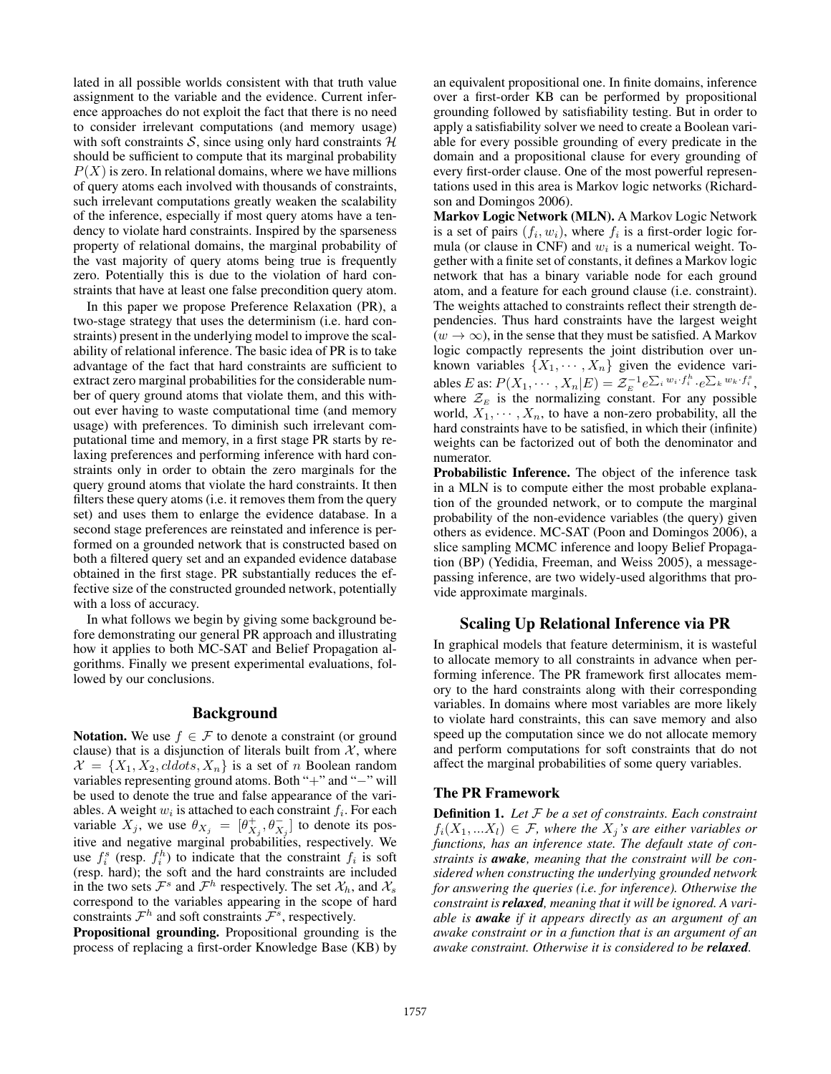lated in all possible worlds consistent with that truth value assignment to the variable and the evidence. Current inference approaches do not exploit the fact that there is no need to consider irrelevant computations (and memory usage) with soft constraints S, since using only hard constraints  $H$ should be sufficient to compute that its marginal probability  $P(X)$  is zero. In relational domains, where we have millions of query atoms each involved with thousands of constraints, such irrelevant computations greatly weaken the scalability of the inference, especially if most query atoms have a tendency to violate hard constraints. Inspired by the sparseness property of relational domains, the marginal probability of the vast majority of query atoms being true is frequently zero. Potentially this is due to the violation of hard constraints that have at least one false precondition query atom.

In this paper we propose Preference Relaxation (PR), a two-stage strategy that uses the determinism (i.e. hard constraints) present in the underlying model to improve the scalability of relational inference. The basic idea of PR is to take advantage of the fact that hard constraints are sufficient to extract zero marginal probabilities for the considerable number of query ground atoms that violate them, and this without ever having to waste computational time (and memory usage) with preferences. To diminish such irrelevant computational time and memory, in a first stage PR starts by relaxing preferences and performing inference with hard constraints only in order to obtain the zero marginals for the query ground atoms that violate the hard constraints. It then filters these query atoms (i.e. it removes them from the query set) and uses them to enlarge the evidence database. In a second stage preferences are reinstated and inference is performed on a grounded network that is constructed based on both a filtered query set and an expanded evidence database obtained in the first stage. PR substantially reduces the effective size of the constructed grounded network, potentially with a loss of accuracy.

In what follows we begin by giving some background before demonstrating our general PR approach and illustrating how it applies to both MC-SAT and Belief Propagation algorithms. Finally we present experimental evaluations, followed by our conclusions.

#### Background

**Notation.** We use  $f \in \mathcal{F}$  to denote a constraint (or ground clause) that is a disjunction of literals built from  $X$ , where  $\mathcal{X} = \{X_1, X_2, cldots, X_n\}$  is a set of *n* Boolean random variables representing ground atoms. Both "+" and "−" will be used to denote the true and false appearance of the variables. A weight  $w_i$  is attached to each constraint  $f_i$ . For each variable  $X_j$ , we use  $\theta_{X_j} = [\theta_{X_j}^+, \theta_{X_j}^-]$  to denote its positive and negative marginal probabilities, respectively. We use  $f_i^s$  (resp.  $f_i^h$ ) to indicate that the constraint  $f_i$  is soft (resp. hard); the soft and the hard constraints are included in the two sets  $\mathcal{F}^s$  and  $\mathcal{F}^h$  respectively. The set  $\mathcal{X}_h$ , and  $\mathcal{X}_s$ correspond to the variables appearing in the scope of hard constraints  $\mathcal{F}^h$  and soft constraints  $\mathcal{F}^s$ , respectively.

Propositional grounding. Propositional grounding is the process of replacing a first-order Knowledge Base (KB) by

an equivalent propositional one. In finite domains, inference over a first-order KB can be performed by propositional grounding followed by satisfiability testing. But in order to apply a satisfiability solver we need to create a Boolean variable for every possible grounding of every predicate in the domain and a propositional clause for every grounding of every first-order clause. One of the most powerful representations used in this area is Markov logic networks (Richardson and Domingos 2006).

Markov Logic Network (MLN). A Markov Logic Network is a set of pairs  $(f_i, w_i)$ , where  $f_i$  is a first-order logic formula (or clause in CNF) and  $w_i$  is a numerical weight. Together with a finite set of constants, it defines a Markov logic network that has a binary variable node for each ground atom, and a feature for each ground clause (i.e. constraint). The weights attached to constraints reflect their strength dependencies. Thus hard constraints have the largest weight  $(w \rightarrow \infty)$ , in the sense that they must be satisfied. A Markov logic compactly represents the joint distribution over unknown variables  $\{X_1, \dots, X_n\}$  given the evidence variables E as:  $P(X_1, \dots, X_n | E) = \mathcal{Z}_E^{-1} e^{\sum_i w_i \cdot f_i^h} \cdot e^{\sum_k w_k \cdot f_i^s}$ , where  $\mathcal{Z}_E$  is the normalizing constant. For any possible world,  $X_1, \dots, X_n$ , to have a non-zero probability, all the hard constraints have to be satisfied, in which their (infinite) weights can be factorized out of both the denominator and numerator.

Probabilistic Inference. The object of the inference task in a MLN is to compute either the most probable explanation of the grounded network, or to compute the marginal probability of the non-evidence variables (the query) given others as evidence. MC-SAT (Poon and Domingos 2006), a slice sampling MCMC inference and loopy Belief Propagation (BP) (Yedidia, Freeman, and Weiss 2005), a messagepassing inference, are two widely-used algorithms that provide approximate marginals.

### Scaling Up Relational Inference via PR

In graphical models that feature determinism, it is wasteful to allocate memory to all constraints in advance when performing inference. The PR framework first allocates memory to the hard constraints along with their corresponding variables. In domains where most variables are more likely to violate hard constraints, this can save memory and also speed up the computation since we do not allocate memory and perform computations for soft constraints that do not affect the marginal probabilities of some query variables.

### The PR Framework

Definition 1. *Let* F *be a set of constraints. Each constraint*  $f_i(X_1,...X_l) \in \mathcal{F}$ , where the  $X_i$ 's are either variables or *functions, has an inference state. The default state of constraints is awake, meaning that the constraint will be considered when constructing the underlying grounded network for answering the queries (i.e. for inference). Otherwise the constraint is relaxed, meaning that it will be ignored. A variable is awake if it appears directly as an argument of an awake constraint or in a function that is an argument of an awake constraint. Otherwise it is considered to be relaxed.*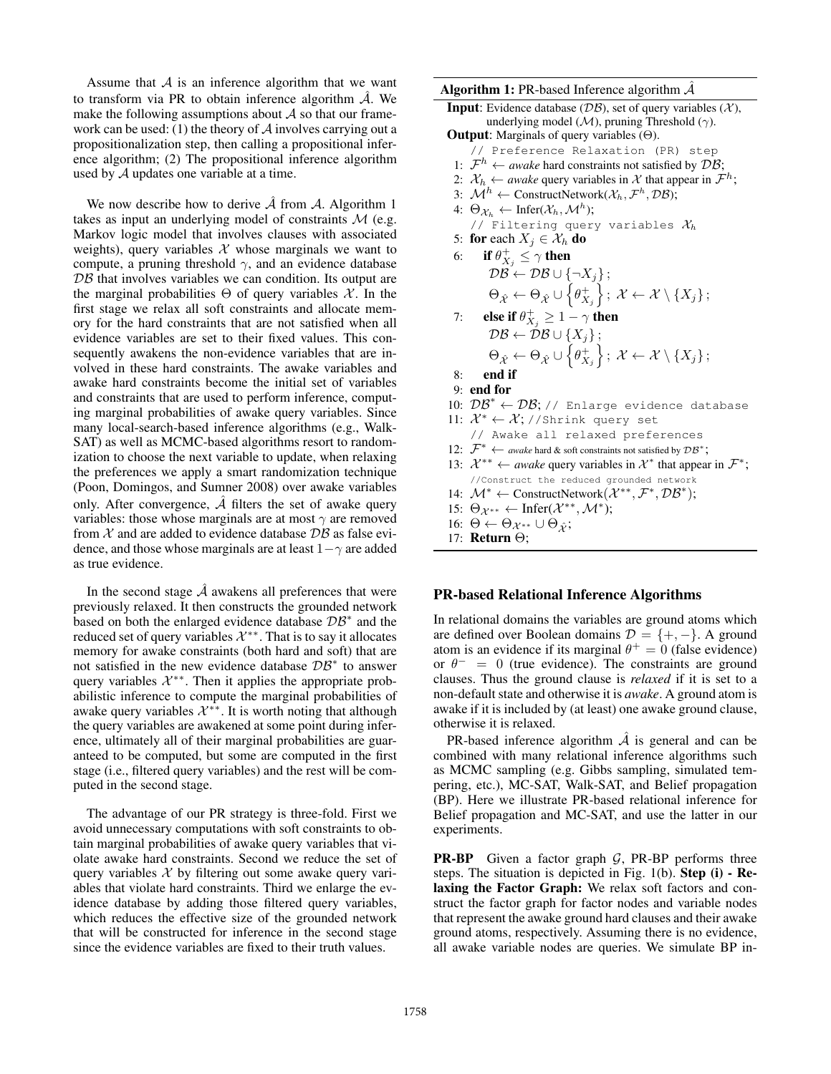Assume that  $A$  is an inference algorithm that we want to transform via PR to obtain inference algorithm  $\mathcal{A}$ . We make the following assumptions about  $\mathcal A$  so that our framework can be used: (1) the theory of  $A$  involves carrying out a propositionalization step, then calling a propositional inference algorithm; (2) The propositional inference algorithm used by A updates one variable at a time.

We now describe how to derive  $\hat{\mathcal{A}}$  from  $\hat{\mathcal{A}}$ . Algorithm 1 takes as input an underlying model of constraints  $M$  (e.g. Markov logic model that involves clauses with associated weights), query variables  $X$  whose marginals we want to compute, a pruning threshold  $\gamma$ , and an evidence database  $DB$  that involves variables we can condition. Its output are the marginal probabilities  $\Theta$  of query variables X. In the first stage we relax all soft constraints and allocate memory for the hard constraints that are not satisfied when all evidence variables are set to their fixed values. This consequently awakens the non-evidence variables that are involved in these hard constraints. The awake variables and awake hard constraints become the initial set of variables and constraints that are used to perform inference, computing marginal probabilities of awake query variables. Since many local-search-based inference algorithms (e.g., Walk-SAT) as well as MCMC-based algorithms resort to randomization to choose the next variable to update, when relaxing the preferences we apply a smart randomization technique (Poon, Domingos, and Sumner 2008) over awake variables only. After convergence,  $\hat{A}$  filters the set of awake query variables: those whose marginals are at most  $\gamma$  are removed from  $X$  and are added to evidence database  $\mathcal{DB}$  as false evidence, and those whose marginals are at least  $1-\gamma$  are added as true evidence.

In the second stage  $\hat{A}$  awakens all preferences that were previously relaxed. It then constructs the grounded network based on both the enlarged evidence database  $\mathcal{DB}^*$  and the reduced set of query variables  $\mathcal{X}^{**}$ . That is to say it allocates memory for awake constraints (both hard and soft) that are not satisfied in the new evidence database  $\mathcal{DB}^*$  to answer query variables  $\mathcal{X}^{**}$ . Then it applies the appropriate probabilistic inference to compute the marginal probabilities of awake query variables  $\mathcal{X}^{**}$ . It is worth noting that although the query variables are awakened at some point during inference, ultimately all of their marginal probabilities are guaranteed to be computed, but some are computed in the first stage (i.e., filtered query variables) and the rest will be computed in the second stage.

The advantage of our PR strategy is three-fold. First we avoid unnecessary computations with soft constraints to obtain marginal probabilities of awake query variables that violate awake hard constraints. Second we reduce the set of query variables  $X$  by filtering out some awake query variables that violate hard constraints. Third we enlarge the evidence database by adding those filtered query variables, which reduces the effective size of the grounded network that will be constructed for inference in the second stage since the evidence variables are fixed to their truth values.

#### **Algorithm 1:** PR-based Inference algorithm  $\hat{\mathcal{A}}$

**Input:** Evidence database ( $\mathcal{DB}$ ), set of query variables ( $\mathcal{X}$ ), underlying model ( $\mathcal{M}$ ), pruning Threshold ( $\gamma$ ). **Output:** Marginals of query variables  $(\Theta)$ .

// Preference Relaxation (PR) step

- 1:  $\mathcal{F}^h \leftarrow$  *awake* hard constraints not satisfied by  $\mathcal{DB}$ ;
- 2:  $\mathcal{X}_h \leftarrow$  *awake* query variables in  $\mathcal{X}$  that appear in  $\mathcal{F}^h$ ;
- 3:  $\mathcal{M}^h \leftarrow$  ConstructNetwork $(\mathcal{X}_h, \mathcal{F}^h, \mathcal{DB})$ ;
- 4:  $\Theta_{\mathcal{X}_h} \leftarrow \text{Infer}(\mathcal{X}_h, \mathcal{M}^h);$ // Filtering query variables  $\mathcal{X}_h$ 5: for each  $X_j \in \mathcal{X}_h$  do
- 6: if  $\theta_{X_j}^+ \leq \gamma$  then  $\mathcal{DB} \leftarrow \mathcal{DB} \cup \{\neg X_j\}$  ;  $\Theta_{\hat{\mathcal{X}}}\leftarrow \Theta_{\hat{\mathcal{X}}} \cup \left\{\theta_{X_j}^+\right\};\ \mathcal{X} \leftarrow \mathcal{X}\setminus \{X_j\};$
- 7: else if  $\theta_{X_j}^+ \geq 1 \gamma$  then  $\mathcal{DB} \leftarrow \mathcal{DB} \cup \{X_j\};$
- $\Theta_{\hat{\mathcal{X}}}\leftarrow \Theta_{\hat{\mathcal{X}}} \cup \left\{\theta_{X_j}^+\right\};\ \mathcal{X} \leftarrow \mathcal{X}\setminus \{X_j\};$ 8: end if
- 9: end for
- 10:  $\mathcal{DB}^* \leftarrow \mathcal{DB}$ ; // Enlarge evidence database
- 11:  $\mathcal{X}^* \leftarrow \mathcal{X}$ ; //Shrink query set // Awake all relaxed preferences 12:  $\mathcal{F}^* \leftarrow \text{a}$  wake hard & soft constraints not satisfied by  $\mathcal{DB}^*$ ; 13:  $\mathcal{X}^{**} \leftarrow \textit{awake}$  query variables in  $\mathcal{X}^*$  that appear in  $\mathcal{F}^*$ ; //Construct the reduced grounded network
- 14:  $\mathcal{M}^* \leftarrow \text{ConstructNetwork}(\mathcal{X}^{**}, \mathcal{F}^*, \mathcal{DB}^*)$ ;
- 15:  $\Theta_{\mathcal{X}^{**}} \leftarrow \text{Infer}(\mathcal{X}^{**}, \mathcal{M}^*)$ ;
- 16:  $\Theta \leftarrow \Theta_{\mathcal{X}^{**}} \cup \Theta_{\hat{\mathcal{Y}}};$
- 17: Return Θ;

### PR-based Relational Inference Algorithms

In relational domains the variables are ground atoms which are defined over Boolean domains  $\mathcal{D} = \{+, -\}.$  A ground atom is an evidence if its marginal  $\theta^+ = 0$  (false evidence) or  $\theta^- = 0$  (true evidence). The constraints are ground clauses. Thus the ground clause is *relaxed* if it is set to a non-default state and otherwise it is *awake*. A ground atom is awake if it is included by (at least) one awake ground clause, otherwise it is relaxed.

PR-based inference algorithm  $\hat{A}$  is general and can be combined with many relational inference algorithms such as MCMC sampling (e.g. Gibbs sampling, simulated tempering, etc.), MC-SAT, Walk-SAT, and Belief propagation (BP). Here we illustrate PR-based relational inference for Belief propagation and MC-SAT, and use the latter in our experiments.

**PR-BP** Given a factor graph  $G$ , PR-BP performs three steps. The situation is depicted in Fig. 1(b). Step (i) - Relaxing the Factor Graph: We relax soft factors and construct the factor graph for factor nodes and variable nodes that represent the awake ground hard clauses and their awake ground atoms, respectively. Assuming there is no evidence, all awake variable nodes are queries. We simulate BP in-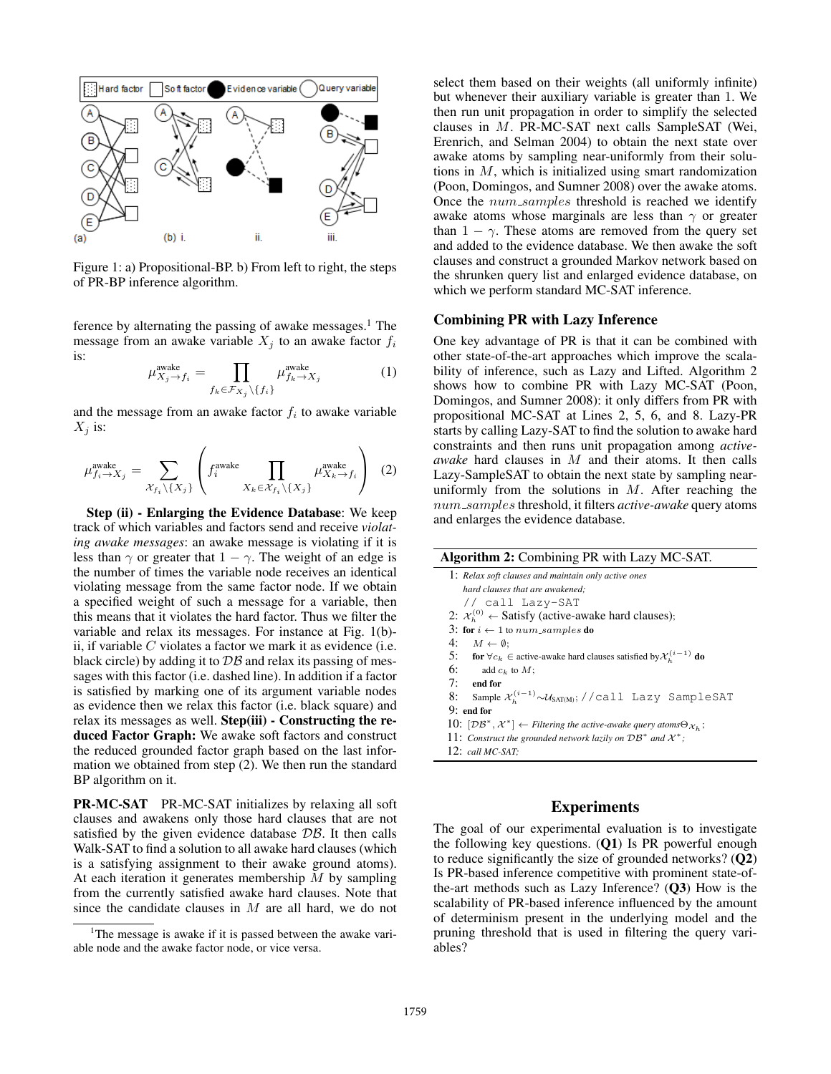

Figure 1: a) Propositional-BP. b) From left to right, the steps of PR-BP inference algorithm.

ference by alternating the passing of awake messages. $<sup>1</sup>$  The</sup> message from an awake variable  $X_j$  to an awake factor  $f_i$ is:

$$
\mu_{X_j \to f_i}^{\text{awake}} = \prod_{f_k \in \mathcal{F}_{X_j} \setminus \{f_i\}} \mu_{f_k \to X_j}^{\text{awake}} \tag{1}
$$

and the message from an awake factor  $f_i$  to awake variable  $X_j$  is:

$$
\mu_{f_i \to X_j}^{\text{awake}} = \sum_{\mathcal{X}_{f_i} \setminus \{X_j\}} \left( f_i^{\text{awake}} \prod_{X_k \in \mathcal{X}_{f_i} \setminus \{X_j\}} \mu_{X_k \to f_i}^{\text{awake}} \right) (2)
$$

Step (ii) - Enlarging the Evidence Database: We keep track of which variables and factors send and receive *violating awake messages*: an awake message is violating if it is less than  $\gamma$  or greater that  $1 - \gamma$ . The weight of an edge is the number of times the variable node receives an identical violating message from the same factor node. If we obtain a specified weight of such a message for a variable, then this means that it violates the hard factor. Thus we filter the variable and relax its messages. For instance at Fig. 1(b) ii, if variable  $C$  violates a factor we mark it as evidence (i.e. black circle) by adding it to  $\mathcal{DB}$  and relax its passing of messages with this factor (i.e. dashed line). In addition if a factor is satisfied by marking one of its argument variable nodes as evidence then we relax this factor (i.e. black square) and relax its messages as well. Step(iii) - Constructing the reduced Factor Graph: We awake soft factors and construct the reduced grounded factor graph based on the last information we obtained from step (2). We then run the standard BP algorithm on it.

PR-MC-SAT PR-MC-SAT initializes by relaxing all soft clauses and awakens only those hard clauses that are not satisfied by the given evidence database  $\mathcal{DB}$ . It then calls Walk-SAT to find a solution to all awake hard clauses (which is a satisfying assignment to their awake ground atoms). At each iteration it generates membership  $M$  by sampling from the currently satisfied awake hard clauses. Note that since the candidate clauses in  $M$  are all hard, we do not

select them based on their weights (all uniformly infinite) but whenever their auxiliary variable is greater than 1. We then run unit propagation in order to simplify the selected clauses in M. PR-MC-SAT next calls SampleSAT (Wei, Erenrich, and Selman 2004) to obtain the next state over awake atoms by sampling near-uniformly from their solutions in M, which is initialized using smart randomization (Poon, Domingos, and Sumner 2008) over the awake atoms. Once the num\_samples threshold is reached we identify awake atoms whose marginals are less than  $\gamma$  or greater than  $1 - \gamma$ . These atoms are removed from the query set and added to the evidence database. We then awake the soft clauses and construct a grounded Markov network based on the shrunken query list and enlarged evidence database, on which we perform standard MC-SAT inference.

#### Combining PR with Lazy Inference

One key advantage of PR is that it can be combined with other state-of-the-art approaches which improve the scalability of inference, such as Lazy and Lifted. Algorithm 2 shows how to combine PR with Lazy MC-SAT (Poon, Domingos, and Sumner 2008): it only differs from PR with propositional MC-SAT at Lines 2, 5, 6, and 8. Lazy-PR starts by calling Lazy-SAT to find the solution to awake hard constraints and then runs unit propagation among *activeawake* hard clauses in M and their atoms. It then calls Lazy-SampleSAT to obtain the next state by sampling nearuniformly from the solutions in  $M$ . After reaching the num samples threshold, it filters *active-awake* query atoms and enlarges the evidence database.

| <b>Algorithm 2:</b> Combining PR with Lazy MC-SAT.                                                       |
|----------------------------------------------------------------------------------------------------------|
| 1: Relax soft clauses and maintain only active ones                                                      |
| hard clauses that are awakened:                                                                          |
| // call Lazy-SAT                                                                                         |
| 2: $\mathcal{X}_h^{(0)} \leftarrow$ Satisfy (active-awake hard clauses);                                 |
| 3: for $i \leftarrow 1$ to num-samples do                                                                |
| 4: $M \leftarrow \emptyset$ :                                                                            |
| 5: for $\forall c_k \in$ active-awake hard clauses satisfied by $\mathcal{X}_h^{(i-1)}$ do               |
| 6: add $c_k$ to $M$ ;                                                                                    |
| $7:$ end for                                                                                             |
| Sample $\mathcal{X}_{h}^{(i-1)} \sim \mathcal{U}_{\text{SAT}(M)}$ ; //call Lazy SampleSAT<br>8:          |
| $9:$ end for                                                                                             |
| 10: $[DB^*, \mathcal{X}^*] \leftarrow$ Filtering the active-awake query atoms $\Theta_{\mathcal{X}_h}$ ; |
| 11: Construct the grounded network lazily on $DB^*$ and $\mathcal{X}^*$ ;                                |
| 12: $call MC-SAT$                                                                                        |
|                                                                                                          |

#### Experiments

The goal of our experimental evaluation is to investigate the following key questions.  $(Q1)$  Is PR powerful enough to reduce significantly the size of grounded networks? (Q2) Is PR-based inference competitive with prominent state-ofthe-art methods such as Lazy Inference?  $(Q3)$  How is the scalability of PR-based inference influenced by the amount of determinism present in the underlying model and the pruning threshold that is used in filtering the query variables?

<sup>&</sup>lt;sup>1</sup>The message is awake if it is passed between the awake variable node and the awake factor node, or vice versa.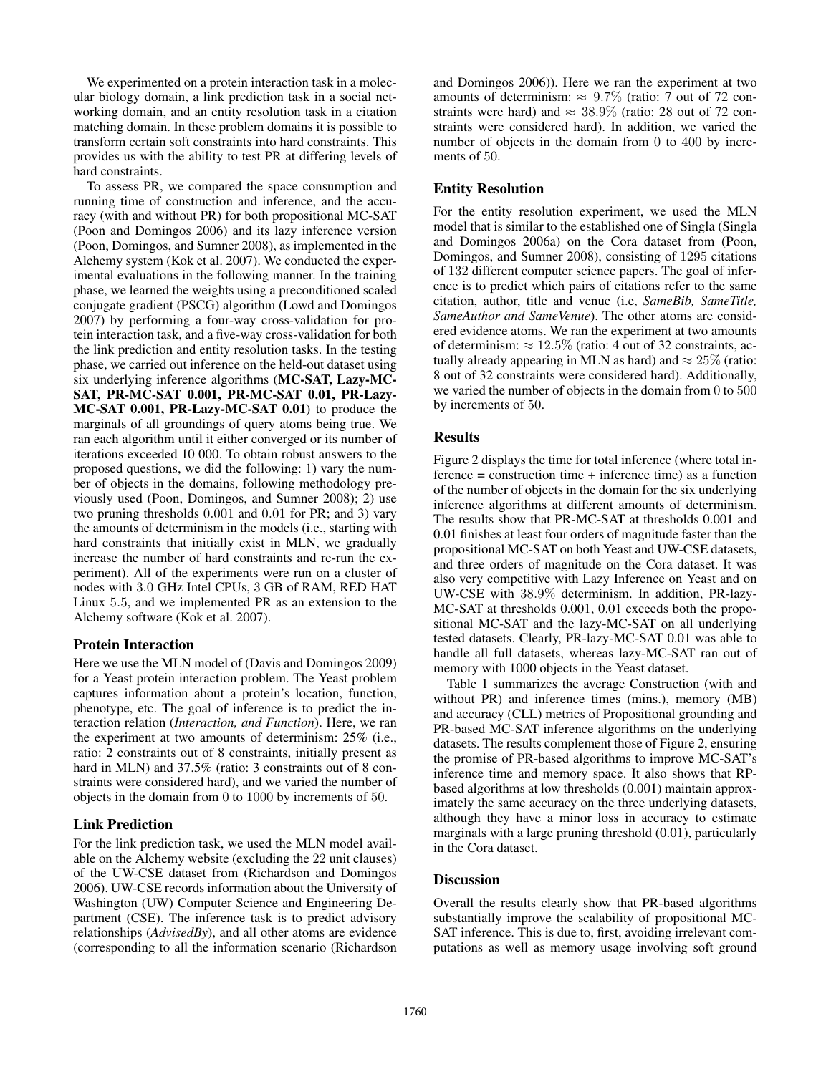We experimented on a protein interaction task in a molecular biology domain, a link prediction task in a social networking domain, and an entity resolution task in a citation matching domain. In these problem domains it is possible to transform certain soft constraints into hard constraints. This provides us with the ability to test PR at differing levels of hard constraints.

To assess PR, we compared the space consumption and running time of construction and inference, and the accuracy (with and without PR) for both propositional MC-SAT (Poon and Domingos 2006) and its lazy inference version (Poon, Domingos, and Sumner 2008), as implemented in the Alchemy system (Kok et al. 2007). We conducted the experimental evaluations in the following manner. In the training phase, we learned the weights using a preconditioned scaled conjugate gradient (PSCG) algorithm (Lowd and Domingos 2007) by performing a four-way cross-validation for protein interaction task, and a five-way cross-validation for both the link prediction and entity resolution tasks. In the testing phase, we carried out inference on the held-out dataset using six underlying inference algorithms (MC-SAT, Lazy-MC-SAT, PR-MC-SAT 0.001, PR-MC-SAT 0.01, PR-Lazy-MC-SAT 0.001, PR-Lazy-MC-SAT 0.01) to produce the marginals of all groundings of query atoms being true. We ran each algorithm until it either converged or its number of iterations exceeded 10 000. To obtain robust answers to the proposed questions, we did the following: 1) vary the number of objects in the domains, following methodology previously used (Poon, Domingos, and Sumner 2008); 2) use two pruning thresholds 0.001 and 0.01 for PR; and 3) vary the amounts of determinism in the models (i.e., starting with hard constraints that initially exist in MLN, we gradually increase the number of hard constraints and re-run the experiment). All of the experiments were run on a cluster of nodes with 3.0 GHz Intel CPUs, 3 GB of RAM, RED HAT Linux 5.5, and we implemented PR as an extension to the Alchemy software (Kok et al. 2007).

### Protein Interaction

Here we use the MLN model of (Davis and Domingos 2009) for a Yeast protein interaction problem. The Yeast problem captures information about a protein's location, function, phenotype, etc. The goal of inference is to predict the interaction relation (*Interaction, and Function*). Here, we ran the experiment at two amounts of determinism: 25% (i.e., ratio: 2 constraints out of 8 constraints, initially present as hard in MLN) and 37.5% (ratio: 3 constraints out of 8 constraints were considered hard), and we varied the number of objects in the domain from 0 to 1000 by increments of 50.

## Link Prediction

For the link prediction task, we used the MLN model available on the Alchemy website (excluding the 22 unit clauses) of the UW-CSE dataset from (Richardson and Domingos 2006). UW-CSE records information about the University of Washington (UW) Computer Science and Engineering Department (CSE). The inference task is to predict advisory relationships (*AdvisedBy*), and all other atoms are evidence (corresponding to all the information scenario (Richardson

and Domingos 2006)). Here we ran the experiment at two amounts of determinism:  $\approx 9.7\%$  (ratio: 7 out of 72 constraints were hard) and  $\approx 38.9\%$  (ratio: 28 out of 72 constraints were considered hard). In addition, we varied the number of objects in the domain from 0 to 400 by increments of 50.

## Entity Resolution

For the entity resolution experiment, we used the MLN model that is similar to the established one of Singla (Singla and Domingos 2006a) on the Cora dataset from (Poon, Domingos, and Sumner 2008), consisting of 1295 citations of 132 different computer science papers. The goal of inference is to predict which pairs of citations refer to the same citation, author, title and venue (i.e, *SameBib, SameTitle, SameAuthor and SameVenue*). The other atoms are considered evidence atoms. We ran the experiment at two amounts of determinism:  $\approx 12.5\%$  (ratio: 4 out of 32 constraints, actually already appearing in MLN as hard) and  $\approx 25\%$  (ratio: 8 out of 32 constraints were considered hard). Additionally, we varied the number of objects in the domain from 0 to 500 by increments of 50.

## **Results**

Figure 2 displays the time for total inference (where total in $f$  ference = construction time + inference time) as a function of the number of objects in the domain for the six underlying inference algorithms at different amounts of determinism. The results show that PR-MC-SAT at thresholds 0.001 and 0.01 finishes at least four orders of magnitude faster than the propositional MC-SAT on both Yeast and UW-CSE datasets, and three orders of magnitude on the Cora dataset. It was also very competitive with Lazy Inference on Yeast and on UW-CSE with 38.9% determinism. In addition, PR-lazy-MC-SAT at thresholds 0.001, 0.01 exceeds both the propositional MC-SAT and the lazy-MC-SAT on all underlying tested datasets. Clearly, PR-lazy-MC-SAT 0.01 was able to handle all full datasets, whereas lazy-MC-SAT ran out of memory with 1000 objects in the Yeast dataset.

Table 1 summarizes the average Construction (with and without PR) and inference times (mins.), memory (MB) and accuracy (CLL) metrics of Propositional grounding and PR-based MC-SAT inference algorithms on the underlying datasets. The results complement those of Figure 2, ensuring the promise of PR-based algorithms to improve MC-SAT's inference time and memory space. It also shows that RPbased algorithms at low thresholds (0.001) maintain approximately the same accuracy on the three underlying datasets, although they have a minor loss in accuracy to estimate marginals with a large pruning threshold (0.01), particularly in the Cora dataset.

### **Discussion**

Overall the results clearly show that PR-based algorithms substantially improve the scalability of propositional MC-SAT inference. This is due to, first, avoiding irrelevant computations as well as memory usage involving soft ground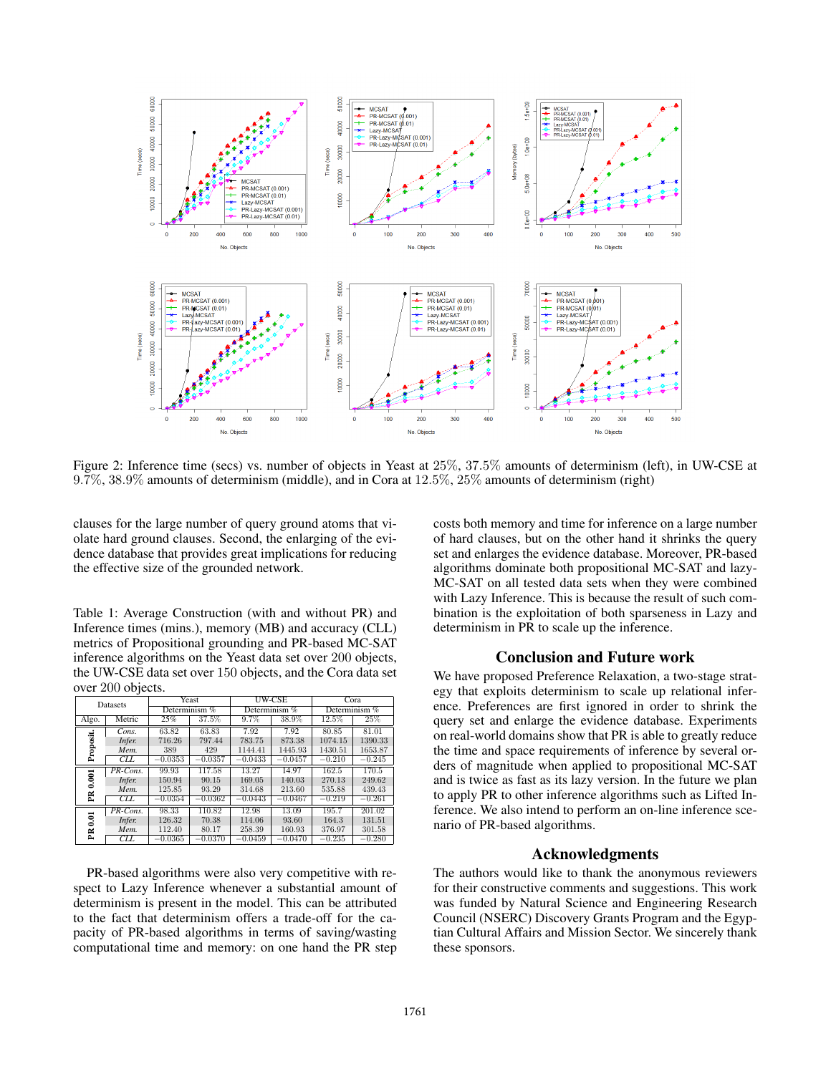

Figure 2: Inference time (secs) vs. number of objects in Yeast at 25%, 37.5% amounts of determinism (left), in UW-CSE at 9.7%, 38.9% amounts of determinism (middle), and in Cora at 12.5%, 25% amounts of determinism (right)

clauses for the large number of query ground atoms that violate hard ground clauses. Second, the enlarging of the evidence database that provides great implications for reducing the effective size of the grounded network.

Table 1: Average Construction (with and without PR) and Inference times (mins.), memory (MB) and accuracy (CLL) metrics of Propositional grounding and PR-based MC-SAT inference algorithms on the Yeast data set over 200 objects, the UW-CSE data set over 150 objects, and the Cora data set over 200 objects.

| Datasets               |             | Yeast           |           | UW-CSE          |           | Cora            |          |
|------------------------|-------------|-----------------|-----------|-----------------|-----------|-----------------|----------|
|                        |             | Determinism $%$ |           | Determinism $%$ |           | Determinism $%$ |          |
| Algo.                  | Metric      | 25%             | 37.5%     | 9.7%            | 38.9%     | 12.5%           | 25%      |
| Proposit.              | Cons.       | 63.82           | 63.83     | 7.92            | 7.92      | 80.85           | 81.01    |
|                        | Infer.      | 716.26          | 797.44    | 783.75          | 873.38    | 1074.15         | 1390.33  |
|                        | Mem.        | 389             | 429       | 1144.41         | 1445.93   | 1430.51         | 1653.87  |
|                        | CLL         | $-0.0353$       | $-0.0357$ | $-0.0433$       | $-0.0457$ | $-0.210$        | $-0.245$ |
| 0.001<br>Ě             | $PR$ -Cons. | 99.93           | 117.58    | 13.27           | 14.97     | 162.5           | 170.5    |
|                        | Infer.      | 150.94          | 90.15     | 169.05          | 140.03    | 270.13          | 249.62   |
|                        | Mem.        | 125.85          | 93.29     | 314.68          | 213.60    | 535.88          | 439.43   |
|                        | <b>CLL</b>  | $-0.0354$       | $-0.0362$ | $-0.0443$       | $-0.0467$ | $-0.219$        | $-0.261$ |
| $\overline{0.01}$<br>Ĕ | PR-Cons.    | 98.33           | 110.82    | 12.98           | 13.09     | 195.7           | 201.02   |
|                        | Infer.      | 126.32          | 70.38     | 114.06          | 93.60     | 164.3           | 131.51   |
|                        | Mem.        | 112.40          | 80.17     | 258.39          | 160.93    | 376.97          | 301.58   |
|                        | CLL         | $-0.0365$       | $-0.0370$ | $-0.0459$       | $-0.0470$ | $-0.235$        | $-0.280$ |

PR-based algorithms were also very competitive with respect to Lazy Inference whenever a substantial amount of determinism is present in the model. This can be attributed to the fact that determinism offers a trade-off for the capacity of PR-based algorithms in terms of saving/wasting computational time and memory: on one hand the PR step

costs both memory and time for inference on a large number of hard clauses, but on the other hand it shrinks the query set and enlarges the evidence database. Moreover, PR-based algorithms dominate both propositional MC-SAT and lazy-MC-SAT on all tested data sets when they were combined with Lazy Inference. This is because the result of such combination is the exploitation of both sparseness in Lazy and determinism in PR to scale up the inference.

### Conclusion and Future work

We have proposed Preference Relaxation, a two-stage strategy that exploits determinism to scale up relational inference. Preferences are first ignored in order to shrink the query set and enlarge the evidence database. Experiments on real-world domains show that PR is able to greatly reduce the time and space requirements of inference by several orders of magnitude when applied to propositional MC-SAT and is twice as fast as its lazy version. In the future we plan to apply PR to other inference algorithms such as Lifted Inference. We also intend to perform an on-line inference scenario of PR-based algorithms.

#### Acknowledgments

The authors would like to thank the anonymous reviewers for their constructive comments and suggestions. This work was funded by Natural Science and Engineering Research Council (NSERC) Discovery Grants Program and the Egyptian Cultural Affairs and Mission Sector. We sincerely thank these sponsors.